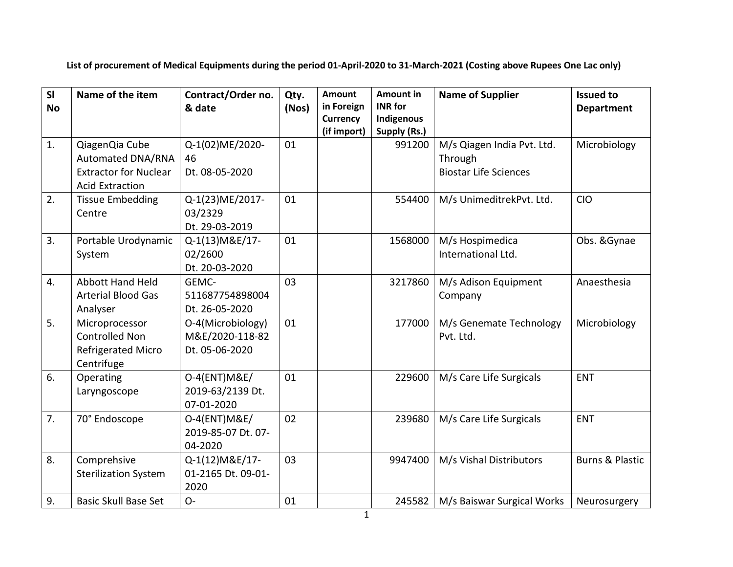**List of procurement of Medical Equipments during the period 01-April-2020 to 31-March-2021 (Costing above Rupees One Lac only)** 

| SI<br><b>No</b> | Name of the item                                                                              | Contract/Order no.<br>& date                           | Qty.<br>(Nos) | <b>Amount</b><br>in Foreign<br><b>Currency</b><br>(if import) | <b>Amount in</b><br><b>INR for</b><br>Indigenous<br>Supply (Rs.) | <b>Name of Supplier</b>                                               | <b>Issued to</b><br><b>Department</b> |
|-----------------|-----------------------------------------------------------------------------------------------|--------------------------------------------------------|---------------|---------------------------------------------------------------|------------------------------------------------------------------|-----------------------------------------------------------------------|---------------------------------------|
| 1.              | QiagenQia Cube<br>Automated DNA/RNA<br><b>Extractor for Nuclear</b><br><b>Acid Extraction</b> | Q-1(02)ME/2020-<br>46<br>Dt. 08-05-2020                | 01            |                                                               | 991200                                                           | M/s Qiagen India Pvt. Ltd.<br>Through<br><b>Biostar Life Sciences</b> | Microbiology                          |
| 2.              | <b>Tissue Embedding</b><br>Centre                                                             | Q-1(23)ME/2017-<br>03/2329<br>Dt. 29-03-2019           | 01            |                                                               | 554400                                                           | M/s UnimeditrekPvt. Ltd.                                              | <b>CIO</b>                            |
| 3.              | Portable Urodynamic<br>System                                                                 | Q-1(13) M&E/17-<br>02/2600<br>Dt. 20-03-2020           | 01            |                                                               | 1568000                                                          | M/s Hospimedica<br>International Ltd.                                 | Obs. & Gynae                          |
| 4.              | <b>Abbott Hand Held</b><br><b>Arterial Blood Gas</b><br>Analyser                              | GEMC-<br>511687754898004<br>Dt. 26-05-2020             | 03            |                                                               | 3217860                                                          | M/s Adison Equipment<br>Company                                       | Anaesthesia                           |
| 5.              | Microprocessor<br><b>Controlled Non</b><br><b>Refrigerated Micro</b><br>Centrifuge            | O-4(Microbiology)<br>M&E/2020-118-82<br>Dt. 05-06-2020 | 01            |                                                               | 177000                                                           | M/s Genemate Technology<br>Pvt. Ltd.                                  | Microbiology                          |
| 6.              | Operating<br>Laryngoscope                                                                     | 0-4(ENT) M&E/<br>2019-63/2139 Dt.<br>07-01-2020        | 01            |                                                               | 229600                                                           | M/s Care Life Surgicals                                               | <b>ENT</b>                            |
| 7.              | 70° Endoscope                                                                                 | 0-4(ENT) M&E/<br>2019-85-07 Dt. 07-<br>04-2020         | 02            |                                                               | 239680                                                           | M/s Care Life Surgicals                                               | <b>ENT</b>                            |
| 8.              | Comprehsive<br><b>Sterilization System</b>                                                    | Q-1(12) M&E/17-<br>01-2165 Dt. 09-01-<br>2020          | 03            |                                                               | 9947400                                                          | M/s Vishal Distributors                                               | <b>Burns &amp; Plastic</b>            |
| 9.              | <b>Basic Skull Base Set</b>                                                                   | $O -$                                                  | 01            |                                                               | 245582                                                           | M/s Baiswar Surgical Works                                            | Neurosurgery                          |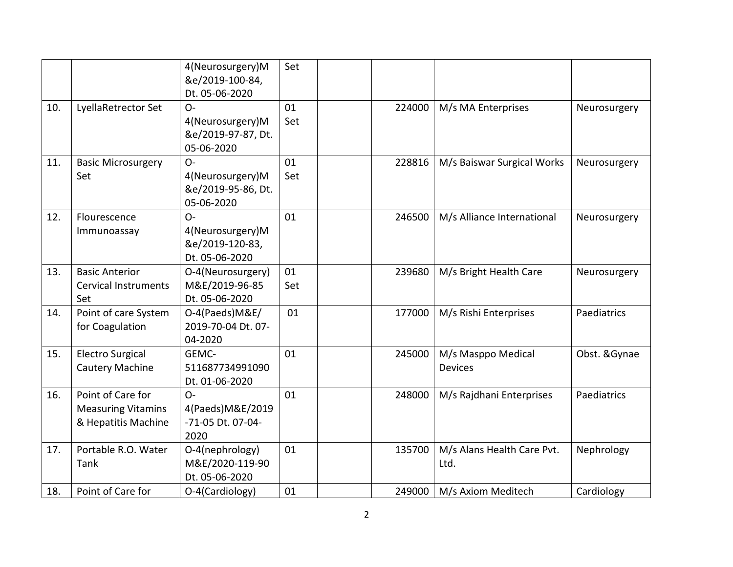|     |                                                                       | 4(Neurosurgery)M<br>&e/2019-100-84,<br>Dt. 05-06-2020          | Set       |        |                                      |               |
|-----|-----------------------------------------------------------------------|----------------------------------------------------------------|-----------|--------|--------------------------------------|---------------|
| 10. | LyellaRetrector Set                                                   | $O -$<br>4(Neurosurgery)M<br>&e/2019-97-87, Dt.<br>05-06-2020  | 01<br>Set | 224000 | M/s MA Enterprises                   | Neurosurgery  |
| 11. | <b>Basic Microsurgery</b><br>Set                                      | $O -$<br>4(Neurosurgery)M<br>&e/2019-95-86, Dt.<br>05-06-2020  | 01<br>Set | 228816 | M/s Baiswar Surgical Works           | Neurosurgery  |
| 12. | Flourescence<br>Immunoassay                                           | $O -$<br>4(Neurosurgery)M<br>&e/2019-120-83,<br>Dt. 05-06-2020 | 01        | 246500 | M/s Alliance International           | Neurosurgery  |
| 13. | <b>Basic Anterior</b><br><b>Cervical Instruments</b><br>Set           | O-4(Neurosurgery)<br>M&E/2019-96-85<br>Dt. 05-06-2020          | 01<br>Set | 239680 | M/s Bright Health Care               | Neurosurgery  |
| 14. | Point of care System<br>for Coagulation                               | O-4(Paeds)M&E/<br>2019-70-04 Dt. 07-<br>04-2020                | 01        | 177000 | M/s Rishi Enterprises                | Paediatrics   |
| 15. | <b>Electro Surgical</b><br>Cautery Machine                            | GEMC-<br>511687734991090<br>Dt. 01-06-2020                     | 01        | 245000 | M/s Masppo Medical<br><b>Devices</b> | Obst. & Gynae |
| 16. | Point of Care for<br><b>Measuring Vitamins</b><br>& Hepatitis Machine | $O -$<br>4(Paeds) M&E/2019<br>-71-05 Dt. 07-04-<br>2020        | 01        | 248000 | M/s Rajdhani Enterprises             | Paediatrics   |
| 17. | Portable R.O. Water<br>Tank                                           | O-4(nephrology)<br>M&E/2020-119-90<br>Dt. 05-06-2020           | 01        | 135700 | M/s Alans Health Care Pvt.<br>Ltd.   | Nephrology    |
| 18. | Point of Care for                                                     | O-4(Cardiology)                                                | 01        | 249000 | M/s Axiom Meditech                   | Cardiology    |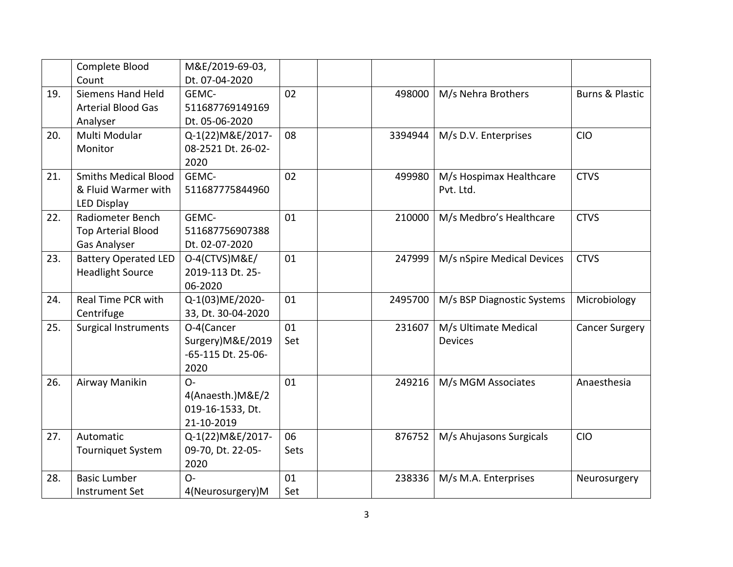|     | Complete Blood              | M&E/2019-69-03,    |      |         |                            |                            |
|-----|-----------------------------|--------------------|------|---------|----------------------------|----------------------------|
|     | Count                       | Dt. 07-04-2020     |      |         |                            |                            |
| 19. | <b>Siemens Hand Held</b>    | GEMC-              | 02   | 498000  | M/s Nehra Brothers         | <b>Burns &amp; Plastic</b> |
|     | <b>Arterial Blood Gas</b>   | 511687769149169    |      |         |                            |                            |
|     | Analyser                    | Dt. 05-06-2020     |      |         |                            |                            |
| 20. | Multi Modular               | Q-1(22) M&E/2017-  | 08   | 3394944 | M/s D.V. Enterprises       | <b>CIO</b>                 |
|     | Monitor                     | 08-2521 Dt. 26-02- |      |         |                            |                            |
|     |                             | 2020               |      |         |                            |                            |
| 21. | <b>Smiths Medical Blood</b> | GEMC-              | 02   | 499980  | M/s Hospimax Healthcare    | <b>CTVS</b>                |
|     | & Fluid Warmer with         | 511687775844960    |      |         | Pvt. Ltd.                  |                            |
|     | LED Display                 |                    |      |         |                            |                            |
| 22. | <b>Radiometer Bench</b>     | GEMC-              | 01   | 210000  | M/s Medbro's Healthcare    | <b>CTVS</b>                |
|     | <b>Top Arterial Blood</b>   | 511687756907388    |      |         |                            |                            |
|     | Gas Analyser                | Dt. 02-07-2020     |      |         |                            |                            |
| 23. | <b>Battery Operated LED</b> | O-4(CTVS)M&E/      | 01   | 247999  | M/s nSpire Medical Devices | <b>CTVS</b>                |
|     | <b>Headlight Source</b>     | 2019-113 Dt. 25-   |      |         |                            |                            |
|     |                             | 06-2020            |      |         |                            |                            |
| 24. | Real Time PCR with          | Q-1(03)ME/2020-    | 01   | 2495700 | M/s BSP Diagnostic Systems | Microbiology               |
|     | Centrifuge                  | 33, Dt. 30-04-2020 |      |         |                            |                            |
| 25. | <b>Surgical Instruments</b> | O-4(Cancer         | 01   | 231607  | M/s Ultimate Medical       | <b>Cancer Surgery</b>      |
|     |                             | Surgery)M&E/2019   | Set  |         | <b>Devices</b>             |                            |
|     |                             | -65-115 Dt. 25-06- |      |         |                            |                            |
|     |                             | 2020               |      |         |                            |                            |
| 26. | Airway Manikin              | $O -$              | 01   | 249216  | M/s MGM Associates         | Anaesthesia                |
|     |                             | 4(Anaesth.) M&E/2  |      |         |                            |                            |
|     |                             | 019-16-1533, Dt.   |      |         |                            |                            |
|     |                             | 21-10-2019         |      |         |                            |                            |
| 27. | Automatic                   | Q-1(22) M&E/2017-  | 06   | 876752  | M/s Ahujasons Surgicals    | <b>CIO</b>                 |
|     | <b>Tourniquet System</b>    | 09-70, Dt. 22-05-  | Sets |         |                            |                            |
|     |                             | 2020               |      |         |                            |                            |
| 28. | <b>Basic Lumber</b>         | $O -$              | 01   | 238336  | M/s M.A. Enterprises       | Neurosurgery               |
|     | <b>Instrument Set</b>       | 4(Neurosurgery)M   | Set  |         |                            |                            |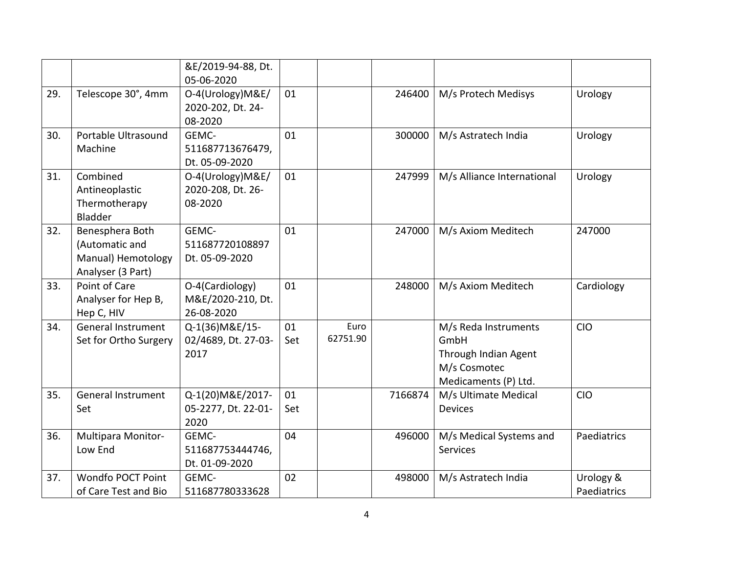|     |                           | &E/2019-94-88, Dt.<br>05-06-2020 |     |          |         |                            |             |
|-----|---------------------------|----------------------------------|-----|----------|---------|----------------------------|-------------|
| 29. | Telescope 30°, 4mm        | O-4(Urology)M&E/                 | 01  |          | 246400  | M/s Protech Medisys        | Urology     |
|     |                           | 2020-202, Dt. 24-                |     |          |         |                            |             |
|     |                           | 08-2020                          |     |          |         |                            |             |
| 30. | Portable Ultrasound       | GEMC-                            | 01  |          | 300000  | M/s Astratech India        | Urology     |
|     | Machine                   | 511687713676479,                 |     |          |         |                            |             |
|     |                           | Dt. 05-09-2020                   |     |          |         |                            |             |
| 31. | Combined                  | O-4(Urology)M&E/                 | 01  |          | 247999  | M/s Alliance International | Urology     |
|     | Antineoplastic            | 2020-208, Dt. 26-                |     |          |         |                            |             |
|     | Thermotherapy             | 08-2020                          |     |          |         |                            |             |
|     | <b>Bladder</b>            |                                  |     |          |         |                            |             |
| 32. | Benesphera Both           | GEMC-                            | 01  |          | 247000  | M/s Axiom Meditech         | 247000      |
|     | (Automatic and            | 511687720108897                  |     |          |         |                            |             |
|     | Manual) Hemotology        | Dt. 05-09-2020                   |     |          |         |                            |             |
|     | Analyser (3 Part)         |                                  |     |          |         |                            |             |
| 33. | Point of Care             | O-4(Cardiology)                  | 01  |          | 248000  | M/s Axiom Meditech         | Cardiology  |
|     | Analyser for Hep B,       | M&E/2020-210, Dt.                |     |          |         |                            |             |
|     | Hep C, HIV                | 26-08-2020                       |     |          |         |                            |             |
| 34. | General Instrument        | Q-1(36) M&E/15-                  | 01  | Euro     |         | M/s Reda Instruments       | <b>CIO</b>  |
|     | Set for Ortho Surgery     | 02/4689, Dt. 27-03-              | Set | 62751.90 |         | GmbH                       |             |
|     |                           | 2017                             |     |          |         | Through Indian Agent       |             |
|     |                           |                                  |     |          |         | M/s Cosmotec               |             |
|     |                           |                                  |     |          |         | Medicaments (P) Ltd.       |             |
| 35. | <b>General Instrument</b> | Q-1(20)M&E/2017-                 | 01  |          | 7166874 | M/s Ultimate Medical       | <b>CIO</b>  |
|     | Set                       | 05-2277, Dt. 22-01-              | Set |          |         | <b>Devices</b>             |             |
|     |                           | 2020                             |     |          |         |                            |             |
| 36. | Multipara Monitor-        | GEMC-                            | 04  |          | 496000  | M/s Medical Systems and    | Paediatrics |
|     | Low End                   | 511687753444746,                 |     |          |         | <b>Services</b>            |             |
|     |                           | Dt. 01-09-2020                   |     |          |         |                            |             |
| 37. | <b>Wondfo POCT Point</b>  | GEMC-                            | 02  |          | 498000  | M/s Astratech India        | Urology &   |
|     | of Care Test and Bio      | 511687780333628                  |     |          |         |                            | Paediatrics |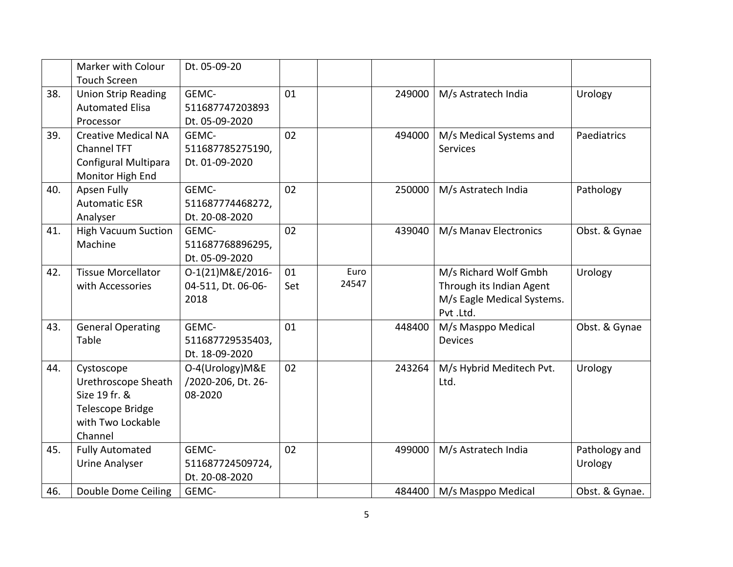|     | Marker with Colour<br><b>Touch Screen</b> | Dt. 05-09-20       |     |       |        |                            |                |
|-----|-------------------------------------------|--------------------|-----|-------|--------|----------------------------|----------------|
|     |                                           |                    |     |       |        |                            |                |
| 38. | <b>Union Strip Reading</b>                | GEMC-              | 01  |       | 249000 | M/s Astratech India        | Urology        |
|     | <b>Automated Elisa</b>                    | 511687747203893    |     |       |        |                            |                |
|     | Processor                                 | Dt. 05-09-2020     |     |       |        |                            |                |
| 39. | <b>Creative Medical NA</b>                | GEMC-              | 02  |       | 494000 | M/s Medical Systems and    | Paediatrics    |
|     | <b>Channel TFT</b>                        | 511687785275190,   |     |       |        | <b>Services</b>            |                |
|     | Configural Multipara                      | Dt. 01-09-2020     |     |       |        |                            |                |
|     | Monitor High End                          |                    |     |       |        |                            |                |
| 40. | <b>Apsen Fully</b>                        | GEMC-              | 02  |       | 250000 | M/s Astratech India        | Pathology      |
|     | <b>Automatic ESR</b>                      | 511687774468272,   |     |       |        |                            |                |
|     | Analyser                                  | Dt. 20-08-2020     |     |       |        |                            |                |
| 41. | <b>High Vacuum Suction</b>                | GEMC-              | 02  |       | 439040 | M/s Manav Electronics      | Obst. & Gynae  |
|     | Machine                                   | 511687768896295,   |     |       |        |                            |                |
|     |                                           | Dt. 05-09-2020     |     |       |        |                            |                |
| 42. | <b>Tissue Morcellator</b>                 | O-1(21) M&E/2016-  | 01  | Euro  |        | M/s Richard Wolf Gmbh      | Urology        |
|     | with Accessories                          | 04-511, Dt. 06-06- | Set | 24547 |        | Through its Indian Agent   |                |
|     |                                           | 2018               |     |       |        | M/s Eagle Medical Systems. |                |
|     |                                           |                    |     |       |        | Pvt.Ltd.                   |                |
| 43. | <b>General Operating</b>                  | GEMC-              | 01  |       | 448400 | M/s Masppo Medical         | Obst. & Gynae  |
|     | Table                                     | 511687729535403,   |     |       |        | Devices                    |                |
|     |                                           | Dt. 18-09-2020     |     |       |        |                            |                |
| 44. | Cystoscope                                | O-4(Urology)M&E    | 02  |       | 243264 | M/s Hybrid Meditech Pvt.   | Urology        |
|     | Urethroscope Sheath                       | /2020-206, Dt. 26- |     |       |        | Ltd.                       |                |
|     | Size 19 fr. &                             | 08-2020            |     |       |        |                            |                |
|     | Telescope Bridge                          |                    |     |       |        |                            |                |
|     | with Two Lockable                         |                    |     |       |        |                            |                |
|     | Channel                                   |                    |     |       |        |                            |                |
| 45. | <b>Fully Automated</b>                    | GEMC-              | 02  |       | 499000 | M/s Astratech India        | Pathology and  |
|     | <b>Urine Analyser</b>                     | 511687724509724,   |     |       |        |                            | Urology        |
|     |                                           | Dt. 20-08-2020     |     |       |        |                            |                |
|     |                                           |                    |     |       |        |                            |                |
| 46. | Double Dome Ceiling                       | GEMC-              |     |       | 484400 | M/s Masppo Medical         | Obst. & Gynae. |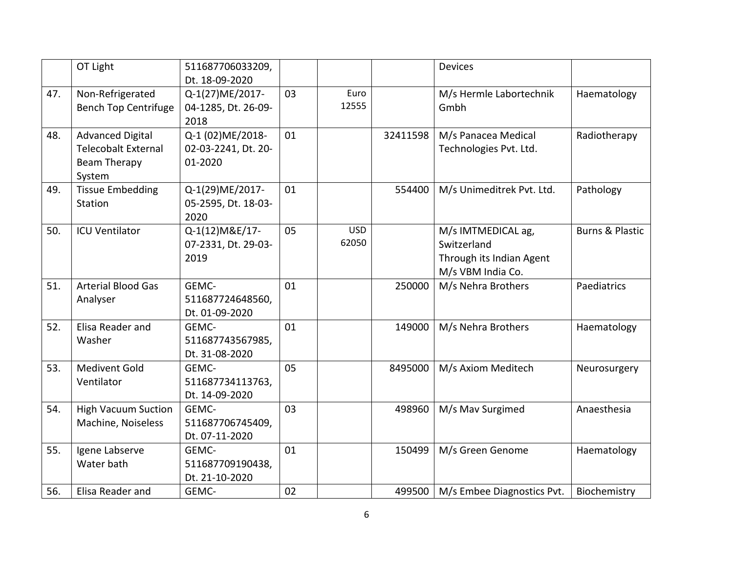|     | OT Light                    | 511687706033209,    |    |            |          | Devices                    |                            |
|-----|-----------------------------|---------------------|----|------------|----------|----------------------------|----------------------------|
|     |                             | Dt. 18-09-2020      |    |            |          |                            |                            |
| 47. | Non-Refrigerated            | Q-1(27)ME/2017-     | 03 | Euro       |          | M/s Hermle Labortechnik    | Haematology                |
|     | <b>Bench Top Centrifuge</b> | 04-1285, Dt. 26-09- |    | 12555      |          | Gmbh                       |                            |
|     |                             | 2018                |    |            |          |                            |                            |
| 48. | <b>Advanced Digital</b>     | Q-1 (02) ME/2018-   | 01 |            | 32411598 | M/s Panacea Medical        | Radiotherapy               |
|     | Telecobalt External         | 02-03-2241, Dt. 20- |    |            |          | Technologies Pvt. Ltd.     |                            |
|     | <b>Beam Therapy</b>         | 01-2020             |    |            |          |                            |                            |
|     | System                      |                     |    |            |          |                            |                            |
| 49. | <b>Tissue Embedding</b>     | Q-1(29)ME/2017-     | 01 |            | 554400   | M/s Unimeditrek Pvt. Ltd.  | Pathology                  |
|     | Station                     | 05-2595, Dt. 18-03- |    |            |          |                            |                            |
|     |                             | 2020                |    |            |          |                            |                            |
| 50. | <b>ICU Ventilator</b>       | Q-1(12) M&E/17-     | 05 | <b>USD</b> |          | M/s IMTMEDICAL ag,         | <b>Burns &amp; Plastic</b> |
|     |                             | 07-2331, Dt. 29-03- |    | 62050      |          | Switzerland                |                            |
|     |                             | 2019                |    |            |          | Through its Indian Agent   |                            |
|     |                             |                     |    |            |          | M/s VBM India Co.          |                            |
| 51. | <b>Arterial Blood Gas</b>   | GEMC-               | 01 |            | 250000   | M/s Nehra Brothers         | Paediatrics                |
|     | Analyser                    | 511687724648560,    |    |            |          |                            |                            |
|     |                             | Dt. 01-09-2020      |    |            |          |                            |                            |
| 52. | Elisa Reader and            | GEMC-               | 01 |            | 149000   | M/s Nehra Brothers         | Haematology                |
|     | Washer                      | 511687743567985,    |    |            |          |                            |                            |
|     |                             | Dt. 31-08-2020      |    |            |          |                            |                            |
| 53. | <b>Medivent Gold</b>        | GEMC-               | 05 |            | 8495000  | M/s Axiom Meditech         | Neurosurgery               |
|     | Ventilator                  | 511687734113763,    |    |            |          |                            |                            |
|     |                             | Dt. 14-09-2020      |    |            |          |                            |                            |
| 54. | <b>High Vacuum Suction</b>  | GEMC-               | 03 |            | 498960   | M/s Mav Surgimed           | Anaesthesia                |
|     | Machine, Noiseless          | 511687706745409,    |    |            |          |                            |                            |
|     |                             | Dt. 07-11-2020      |    |            |          |                            |                            |
| 55. | Igene Labserve              | GEMC-               | 01 |            | 150499   | M/s Green Genome           | Haematology                |
|     | Water bath                  | 511687709190438,    |    |            |          |                            |                            |
|     |                             | Dt. 21-10-2020      |    |            |          |                            |                            |
| 56. | Elisa Reader and            | GEMC-               | 02 |            | 499500   | M/s Embee Diagnostics Pvt. | Biochemistry               |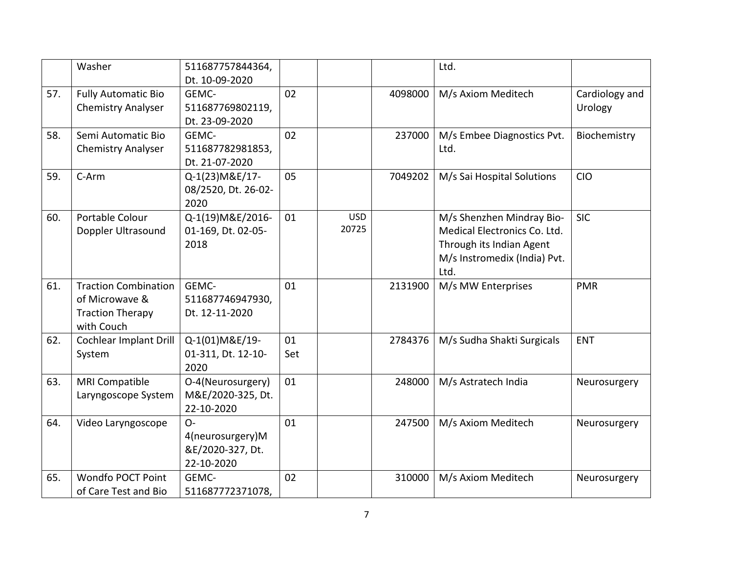|     | Washer                      | 511687757844364,    |     |                     |         | Ltd.                                 |                |
|-----|-----------------------------|---------------------|-----|---------------------|---------|--------------------------------------|----------------|
|     |                             | Dt. 10-09-2020      |     |                     |         |                                      |                |
| 57. | <b>Fully Automatic Bio</b>  | GEMC-               | 02  |                     | 4098000 | M/s Axiom Meditech                   | Cardiology and |
|     | <b>Chemistry Analyser</b>   | 511687769802119,    |     |                     |         |                                      | Urology        |
|     |                             | Dt. 23-09-2020      |     |                     |         |                                      |                |
| 58. | Semi Automatic Bio          | GEMC-               | 02  |                     | 237000  | M/s Embee Diagnostics Pvt.           | Biochemistry   |
|     | <b>Chemistry Analyser</b>   | 511687782981853,    |     |                     |         | Ltd.                                 |                |
|     |                             | Dt. 21-07-2020      |     |                     |         |                                      |                |
| 59. | C-Arm                       | Q-1(23) M&E/17-     | 05  |                     | 7049202 | M/s Sai Hospital Solutions           | <b>CIO</b>     |
|     |                             | 08/2520, Dt. 26-02- |     |                     |         |                                      |                |
|     |                             | 2020                |     |                     |         |                                      |                |
| 60. | Portable Colour             | Q-1(19) M&E/2016-   | 01  | <b>USD</b><br>20725 |         | M/s Shenzhen Mindray Bio-            | <b>SIC</b>     |
|     | Doppler Ultrasound          | 01-169, Dt. 02-05-  |     |                     |         | Medical Electronics Co. Ltd.         |                |
|     |                             | 2018                |     |                     |         | Through its Indian Agent             |                |
|     |                             |                     |     |                     |         | M/s Instromedix (India) Pvt.<br>Ltd. |                |
| 61. | <b>Traction Combination</b> | GEMC-               | 01  |                     | 2131900 | M/s MW Enterprises                   | <b>PMR</b>     |
|     | of Microwave &              | 511687746947930,    |     |                     |         |                                      |                |
|     | <b>Traction Therapy</b>     | Dt. 12-11-2020      |     |                     |         |                                      |                |
|     | with Couch                  |                     |     |                     |         |                                      |                |
| 62. | Cochlear Implant Drill      | Q-1(01)M&E/19-      | 01  |                     | 2784376 | M/s Sudha Shakti Surgicals           | <b>ENT</b>     |
|     | System                      | 01-311, Dt. 12-10-  | Set |                     |         |                                      |                |
|     |                             | 2020                |     |                     |         |                                      |                |
| 63. | <b>MRI Compatible</b>       | O-4(Neurosurgery)   | 01  |                     | 248000  | M/s Astratech India                  | Neurosurgery   |
|     | Laryngoscope System         | M&E/2020-325, Dt.   |     |                     |         |                                      |                |
|     |                             | 22-10-2020          |     |                     |         |                                      |                |
| 64. | Video Laryngoscope          | $O -$               | 01  |                     | 247500  | M/s Axiom Meditech                   | Neurosurgery   |
|     |                             | 4(neurosurgery)M    |     |                     |         |                                      |                |
|     |                             | &E/2020-327, Dt.    |     |                     |         |                                      |                |
|     |                             | 22-10-2020          |     |                     |         |                                      |                |
| 65. | <b>Wondfo POCT Point</b>    | GEMC-               | 02  |                     | 310000  | M/s Axiom Meditech                   | Neurosurgery   |
|     | of Care Test and Bio        | 511687772371078,    |     |                     |         |                                      |                |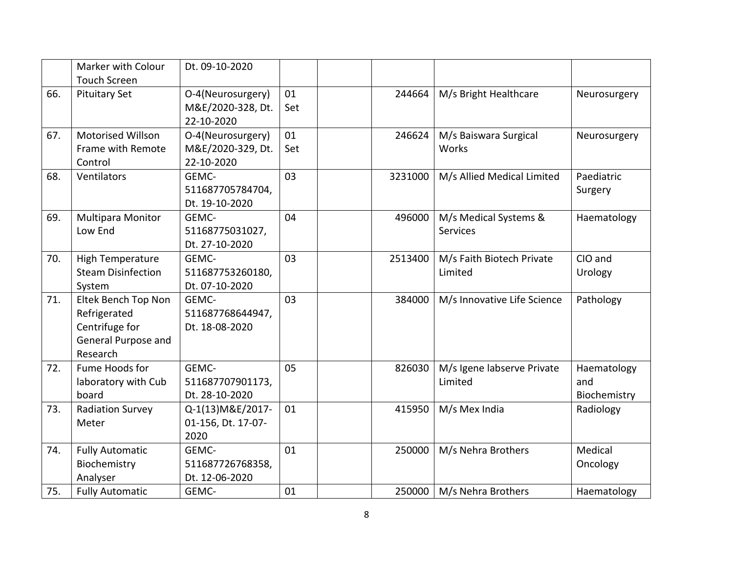|     | Marker with Colour        | Dt. 09-10-2020     |     |         |                             |              |
|-----|---------------------------|--------------------|-----|---------|-----------------------------|--------------|
|     | <b>Touch Screen</b>       |                    |     |         |                             |              |
| 66. | <b>Pituitary Set</b>      | O-4(Neurosurgery)  | 01  | 244664  | M/s Bright Healthcare       | Neurosurgery |
|     |                           | M&E/2020-328, Dt.  | Set |         |                             |              |
|     |                           | 22-10-2020         |     |         |                             |              |
| 67. | <b>Motorised Willson</b>  | O-4(Neurosurgery)  | 01  | 246624  | M/s Baiswara Surgical       | Neurosurgery |
|     | Frame with Remote         | M&E/2020-329, Dt.  | Set |         | Works                       |              |
|     | Control                   | 22-10-2020         |     |         |                             |              |
| 68. | Ventilators               | GEMC-              | 03  | 3231000 | M/s Allied Medical Limited  | Paediatric   |
|     |                           | 511687705784704,   |     |         |                             | Surgery      |
|     |                           | Dt. 19-10-2020     |     |         |                             |              |
| 69. | Multipara Monitor         | GEMC-              | 04  | 496000  | M/s Medical Systems &       | Haematology  |
|     | Low End                   | 51168775031027,    |     |         | <b>Services</b>             |              |
|     |                           | Dt. 27-10-2020     |     |         |                             |              |
| 70. | <b>High Temperature</b>   | GEMC-              | 03  | 2513400 | M/s Faith Biotech Private   | CIO and      |
|     | <b>Steam Disinfection</b> | 511687753260180,   |     |         | Limited                     | Urology      |
|     | System                    | Dt. 07-10-2020     |     |         |                             |              |
| 71. | Eltek Bench Top Non       | GEMC-              | 03  | 384000  | M/s Innovative Life Science | Pathology    |
|     | Refrigerated              | 511687768644947,   |     |         |                             |              |
|     | Centrifuge for            | Dt. 18-08-2020     |     |         |                             |              |
|     | General Purpose and       |                    |     |         |                             |              |
|     | Research                  |                    |     |         |                             |              |
| 72. | Fume Hoods for            | GEMC-              | 05  | 826030  | M/s Igene labserve Private  | Haematology  |
|     | laboratory with Cub       | 511687707901173,   |     |         | Limited                     | and          |
|     | board                     | Dt. 28-10-2020     |     |         |                             | Biochemistry |
| 73. | <b>Radiation Survey</b>   | Q-1(13) M&E/2017-  | 01  | 415950  | M/s Mex India               | Radiology    |
|     | Meter                     | 01-156, Dt. 17-07- |     |         |                             |              |
|     |                           | 2020               |     |         |                             |              |
| 74. | <b>Fully Automatic</b>    | GEMC-              | 01  | 250000  | M/s Nehra Brothers          | Medical      |
|     | Biochemistry              | 511687726768358,   |     |         |                             | Oncology     |
|     | Analyser                  | Dt. 12-06-2020     |     |         |                             |              |
| 75. | <b>Fully Automatic</b>    | GEMC-              | 01  | 250000  | M/s Nehra Brothers          | Haematology  |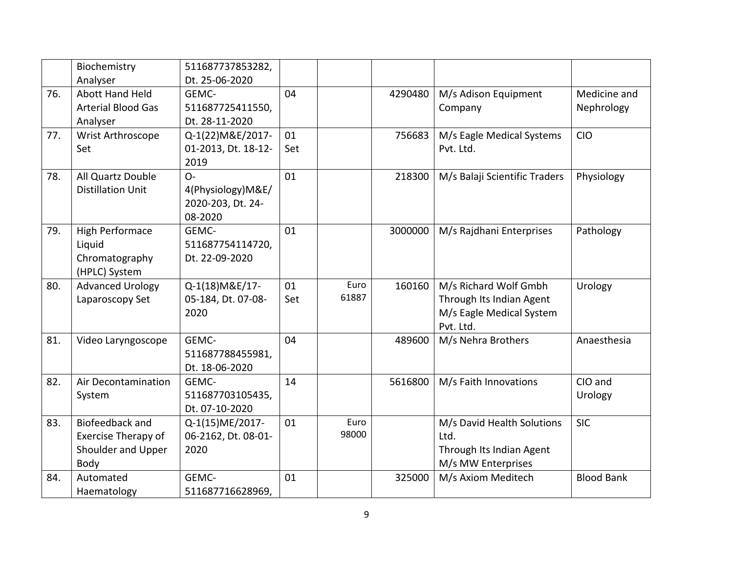|     | Biochemistry               | 511687737853282,    |     |       |         |                               |                   |
|-----|----------------------------|---------------------|-----|-------|---------|-------------------------------|-------------------|
|     | Analyser                   | Dt. 25-06-2020      |     |       |         |                               |                   |
| 76. | <b>Abott Hand Held</b>     | GEMC-               | 04  |       | 4290480 | M/s Adison Equipment          | Medicine and      |
|     | <b>Arterial Blood Gas</b>  | 511687725411550,    |     |       |         | Company                       | Nephrology        |
|     | Analyser                   | Dt. 28-11-2020      |     |       |         |                               |                   |
| 77. | Wrist Arthroscope          | Q-1(22) M&E/2017-   | 01  |       | 756683  | M/s Eagle Medical Systems     | <b>CIO</b>        |
|     | Set                        | 01-2013, Dt. 18-12- | Set |       |         | Pvt. Ltd.                     |                   |
|     |                            | 2019                |     |       |         |                               |                   |
| 78. | All Quartz Double          | $O -$               | 01  |       | 218300  | M/s Balaji Scientific Traders | Physiology        |
|     | <b>Distillation Unit</b>   | 4(Physiology)M&E/   |     |       |         |                               |                   |
|     |                            | 2020-203, Dt. 24-   |     |       |         |                               |                   |
|     |                            | 08-2020             |     |       |         |                               |                   |
| 79. | High Performace            | GEMC-               | 01  |       | 3000000 | M/s Rajdhani Enterprises      | Pathology         |
|     | Liquid                     | 511687754114720,    |     |       |         |                               |                   |
|     | Chromatography             | Dt. 22-09-2020      |     |       |         |                               |                   |
|     | (HPLC) System              |                     |     |       |         |                               |                   |
| 80. | <b>Advanced Urology</b>    | Q-1(18) M&E/17-     | 01  | Euro  | 160160  | M/s Richard Wolf Gmbh         | Urology           |
|     | Laparoscopy Set            | 05-184, Dt. 07-08-  | Set | 61887 |         | Through Its Indian Agent      |                   |
|     |                            | 2020                |     |       |         | M/s Eagle Medical System      |                   |
|     |                            |                     |     |       |         | Pvt. Ltd.                     |                   |
| 81. | Video Laryngoscope         | GEMC-               | 04  |       | 489600  | M/s Nehra Brothers            | Anaesthesia       |
|     |                            | 511687788455981,    |     |       |         |                               |                   |
|     |                            | Dt. 18-06-2020      |     |       |         |                               |                   |
| 82. | Air Decontamination        | GEMC-               | 14  |       | 5616800 | M/s Faith Innovations         | CIO and           |
|     | System                     | 511687703105435,    |     |       |         |                               | Urology           |
|     |                            | Dt. 07-10-2020      |     |       |         |                               |                   |
| 83. | Biofeedback and            | Q-1(15)ME/2017-     | 01  | Euro  |         | M/s David Health Solutions    | <b>SIC</b>        |
|     | <b>Exercise Therapy of</b> | 06-2162, Dt. 08-01- |     | 98000 |         | Ltd.                          |                   |
|     | Shoulder and Upper         | 2020                |     |       |         | Through Its Indian Agent      |                   |
|     | Body                       |                     |     |       |         | M/s MW Enterprises            |                   |
| 84. | Automated                  | GEMC-               | 01  |       | 325000  | M/s Axiom Meditech            | <b>Blood Bank</b> |
|     | Haematology                | 511687716628969,    |     |       |         |                               |                   |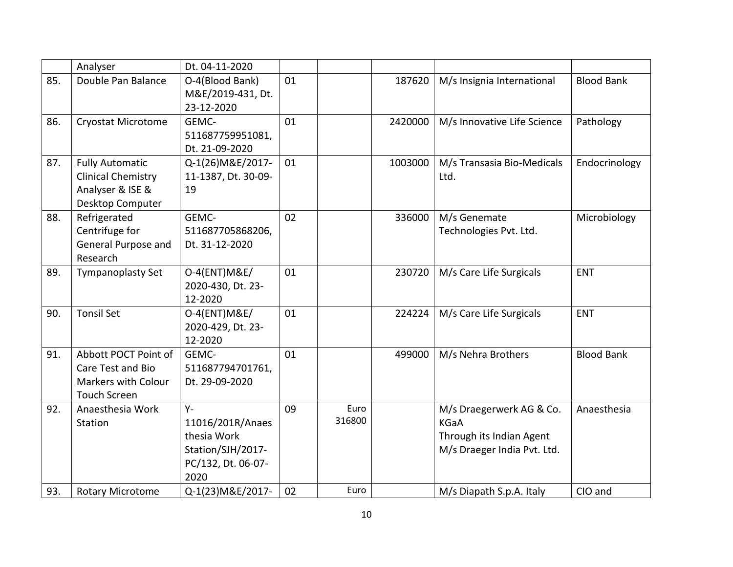|     | Analyser                   | Dt. 04-11-2020      |    |        |         |                             |                   |
|-----|----------------------------|---------------------|----|--------|---------|-----------------------------|-------------------|
| 85. | Double Pan Balance         | O-4(Blood Bank)     | 01 |        | 187620  | M/s Insignia International  | <b>Blood Bank</b> |
|     |                            | M&E/2019-431, Dt.   |    |        |         |                             |                   |
|     |                            | 23-12-2020          |    |        |         |                             |                   |
| 86. | <b>Cryostat Microtome</b>  | GEMC-               | 01 |        | 2420000 | M/s Innovative Life Science | Pathology         |
|     |                            | 511687759951081,    |    |        |         |                             |                   |
|     |                            | Dt. 21-09-2020      |    |        |         |                             |                   |
| 87. | <b>Fully Automatic</b>     | Q-1(26) M&E/2017-   | 01 |        | 1003000 | M/s Transasia Bio-Medicals  | Endocrinology     |
|     | <b>Clinical Chemistry</b>  | 11-1387, Dt. 30-09- |    |        |         | Ltd.                        |                   |
|     | Analyser & ISE &           | 19                  |    |        |         |                             |                   |
|     | Desktop Computer           |                     |    |        |         |                             |                   |
| 88. | Refrigerated               | GEMC-               | 02 |        | 336000  | M/s Genemate                | Microbiology      |
|     | Centrifuge for             | 511687705868206,    |    |        |         | Technologies Pvt. Ltd.      |                   |
|     | General Purpose and        | Dt. 31-12-2020      |    |        |         |                             |                   |
|     | Research                   |                     |    |        |         |                             |                   |
| 89. | <b>Tympanoplasty Set</b>   | 0-4(ENT) M&E/       | 01 |        | 230720  | M/s Care Life Surgicals     | <b>ENT</b>        |
|     |                            | 2020-430, Dt. 23-   |    |        |         |                             |                   |
|     |                            | 12-2020             |    |        |         |                             |                   |
| 90. | <b>Tonsil Set</b>          | 0-4(ENT) M&E/       | 01 |        | 224224  | M/s Care Life Surgicals     | <b>ENT</b>        |
|     |                            | 2020-429, Dt. 23-   |    |        |         |                             |                   |
|     |                            | 12-2020             |    |        |         |                             |                   |
| 91. | Abbott POCT Point of       | GEMC-               | 01 |        | 499000  | M/s Nehra Brothers          | <b>Blood Bank</b> |
|     | Care Test and Bio          | 511687794701761,    |    |        |         |                             |                   |
|     | <b>Markers with Colour</b> | Dt. 29-09-2020      |    |        |         |                             |                   |
|     | <b>Touch Screen</b>        |                     |    |        |         |                             |                   |
| 92. | Anaesthesia Work           | $Y -$               | 09 | Euro   |         | M/s Draegerwerk AG & Co.    | Anaesthesia       |
|     | Station                    | 11016/201R/Anaes    |    | 316800 |         | <b>KGaA</b>                 |                   |
|     |                            | thesia Work         |    |        |         | Through its Indian Agent    |                   |
|     |                            | Station/SJH/2017-   |    |        |         | M/s Draeger India Pvt. Ltd. |                   |
|     |                            | PC/132, Dt. 06-07-  |    |        |         |                             |                   |
|     |                            | 2020                |    |        |         |                             |                   |
| 93. | <b>Rotary Microtome</b>    | Q-1(23) M&E/2017-   | 02 | Euro   |         | M/s Diapath S.p.A. Italy    | CIO and           |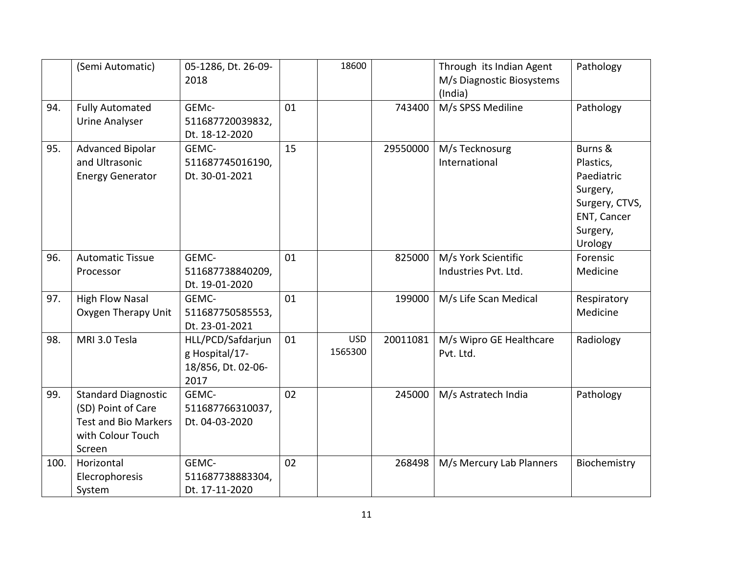|      | (Semi Automatic)                                                                                               | 05-1286, Dt. 26-09-<br>2018                                       |    | 18600                 |          | Through its Indian Agent<br>M/s Diagnostic Biosystems<br>(India) | Pathology                                                                                              |
|------|----------------------------------------------------------------------------------------------------------------|-------------------------------------------------------------------|----|-----------------------|----------|------------------------------------------------------------------|--------------------------------------------------------------------------------------------------------|
| 94.  | <b>Fully Automated</b><br><b>Urine Analyser</b>                                                                | GEMc-<br>511687720039832,<br>Dt. 18-12-2020                       | 01 |                       | 743400   | M/s SPSS Mediline                                                | Pathology                                                                                              |
| 95.  | <b>Advanced Bipolar</b><br>and Ultrasonic<br><b>Energy Generator</b>                                           | GEMC-<br>511687745016190,<br>Dt. 30-01-2021                       | 15 |                       | 29550000 | M/s Tecknosurg<br>International                                  | Burns &<br>Plastics,<br>Paediatric<br>Surgery,<br>Surgery, CTVS,<br>ENT, Cancer<br>Surgery,<br>Urology |
| 96.  | <b>Automatic Tissue</b><br>Processor                                                                           | GEMC-<br>511687738840209,<br>Dt. 19-01-2020                       | 01 |                       | 825000   | M/s York Scientific<br>Industries Pvt. Ltd.                      | Forensic<br>Medicine                                                                                   |
| 97.  | <b>High Flow Nasal</b><br>Oxygen Therapy Unit                                                                  | GEMC-<br>511687750585553,<br>Dt. 23-01-2021                       | 01 |                       | 199000   | M/s Life Scan Medical                                            | Respiratory<br>Medicine                                                                                |
| 98.  | MRI 3.0 Tesla                                                                                                  | HLL/PCD/Safdarjun<br>g Hospital/17-<br>18/856, Dt. 02-06-<br>2017 | 01 | <b>USD</b><br>1565300 | 20011081 | M/s Wipro GE Healthcare<br>Pvt. Ltd.                             | Radiology                                                                                              |
| 99.  | <b>Standard Diagnostic</b><br>(SD) Point of Care<br><b>Test and Bio Markers</b><br>with Colour Touch<br>Screen | GEMC-<br>511687766310037,<br>Dt. 04-03-2020                       | 02 |                       | 245000   | M/s Astratech India                                              | Pathology                                                                                              |
| 100. | Horizontal<br>Elecrophoresis<br>System                                                                         | GEMC-<br>511687738883304,<br>Dt. 17-11-2020                       | 02 |                       | 268498   | M/s Mercury Lab Planners                                         | Biochemistry                                                                                           |